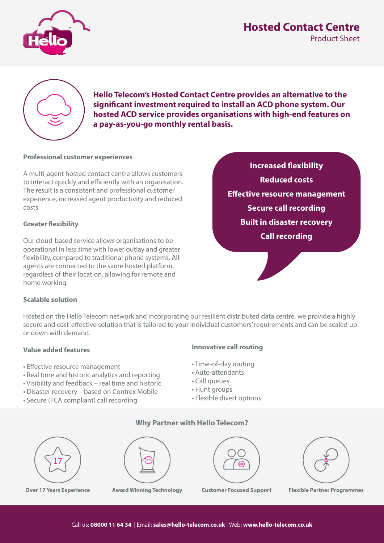## **Fixed Contact Centre** Product Sheet Product Sheet



**Hello Telecom's Hosted Contact Centre provides an alternative to the signi cant investment required to install an ACD phone system. Our hosted ACD service provides organisations with high-end features on a pay-as-you-go monthly rental basis.**

#### **Professional customer experiences**

A multi-agent hosted contact centre allows customers to interact quickly and efficiently with an organisation. The result is a consistent and professional customer experience, increased agent productivity and reduced costs.

#### **Greater flexibility**

Our cloud-based service allows organisations to be operational in less time with lower outlay and greater flexibility, compared to traditional phone systems. All agents are connected to the same hosted platform, regardless of their location, allowing for remote and home working.

## **Increased flexibility Reduced costs Effective resource management Secure call recording Built in disaster recovery Call recording**

#### **Scalable solution**

Hosted on the Hello Telecom network and incorporating our resilient distributed data centre, we provide a highly secure and cost-effective solution that is tailored to your individual customers' requirements and can be scaled up or down with demand.

#### **Value added features**

- Effective resource management
- Real time and historic analytics and reporting
- Visibility and feedback real time and historic
- Disaster recovery based on Contrex Mobile
- Secure (FCA compliant) call recording

#### **Innovative call routing**

- Time-of-day routing
- Auto-attendants
- Call queues
- Hunt groups
- Flexible divert options



**Why Partner with Hello Telecom?**







**Over 17 Years Experience Award Winning Technology Customer Focused Support Flexible Partner Programmes**